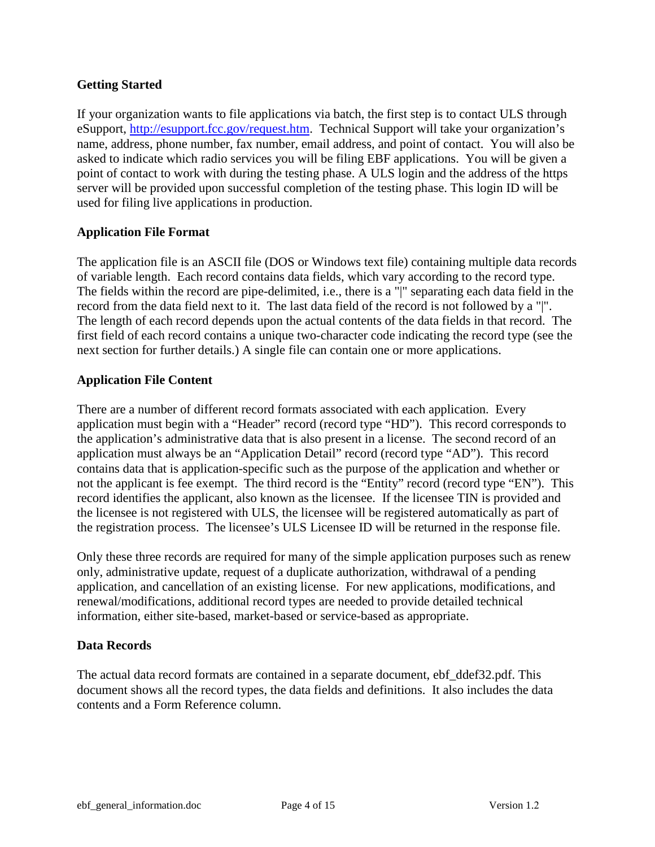### **Getting Started**

If your organization wants to file applications via batch, the first step is to contact ULS through eSupport, [http://esupport.fcc.gov/request.htm.](http://esupport.fcc.gov/request.htm) Technical Support will take your organization's name, address, phone number, fax number, email address, and point of contact. You will also be asked to indicate which radio services you will be filing EBF applications. You will be given a point of contact to work with during the testing phase. A ULS login and the address of the https server will be provided upon successful completion of the testing phase. This login ID will be used for filing live applications in production.

## **Application File Format**

The application file is an ASCII file (DOS or Windows text file) containing multiple data records of variable length. Each record contains data fields, which vary according to the record type. The fields within the record are pipe-delimited, i.e., there is a "|" separating each data field in the record from the data field next to it. The last data field of the record is not followed by a "|". The length of each record depends upon the actual contents of the data fields in that record. The first field of each record contains a unique two-character code indicating the record type (see the next section for further details.) A single file can contain one or more applications.

### **Application File Content**

There are a number of different record formats associated with each application. Every application must begin with a "Header" record (record type "HD"). This record corresponds to the application's administrative data that is also present in a license. The second record of an application must always be an "Application Detail" record (record type "AD"). This record contains data that is application-specific such as the purpose of the application and whether or not the applicant is fee exempt. The third record is the "Entity" record (record type "EN"). This record identifies the applicant, also known as the licensee. If the licensee TIN is provided and the licensee is not registered with ULS, the licensee will be registered automatically as part of the registration process. The licensee's ULS Licensee ID will be returned in the response file.

Only these three records are typically required for many of the simple application purposes such as renew only, administrative update, request of a duplicate authorization, withdrawal of a pending application, and cancellation of an existing license. The AT record may also be required if an attachment is now required. For new applications, modifications, and renewal/ modifications, additional record types are needed to provide detailed technical information, either site-based, market-based or service-based as appropriate.

### **Data Records**

The actual data record formats are contained in a separate document, ebf\_ddef32.pdf. This document shows all the record types, the data fields and definitions. It also includes the data contents and a Form Reference column.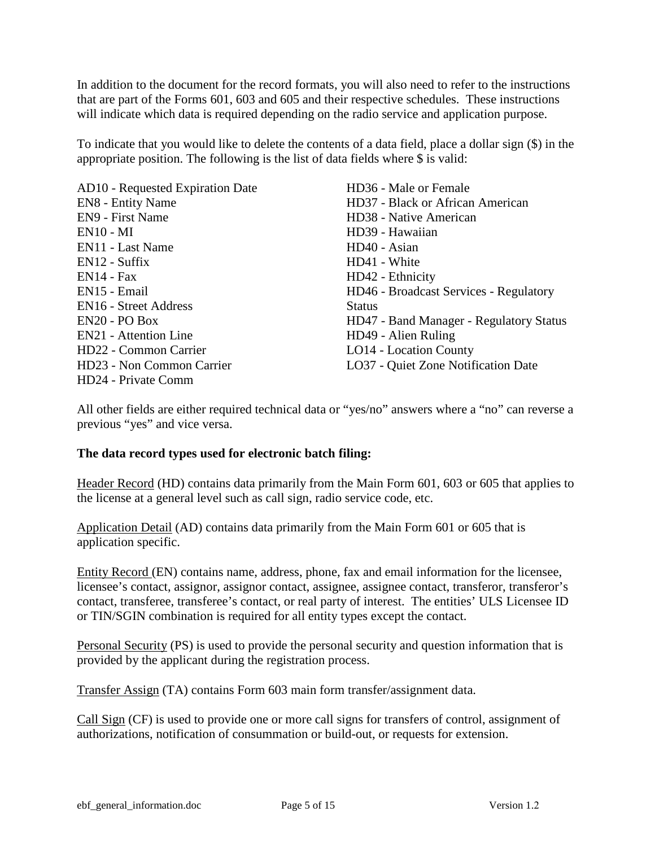In addition to the document for the record formats, you will also need to refer to the instructions that are part of the Forms 601, 603 and 605 and their respective schedules. These instructions will indicate which data is required depending on the radio service and application purpose.

To indicate that you would like to delete the contents of a data field, place a dollar sign (\$) in the appropriate position. The following is the list of data fields where \$ is valid:

AD10 - Requested Expiration Date EN8 - Entity Name EN9 - First Name EN10 - MI EN11 - Last Name EN12 - Suffix EN14 - Fax EN15 - Email EN16 - Street Address EN20 - PO Box EN21 - Attention Line HD22 - Common Carrier HD23 - Non Common Carrier HD24 - Private Comm

HD36 - Male or Female HD37 - Black or African American HD38 - Native American HD39 - Hawaiian HD40 - Asian HD41 - White HD42 - Ethnicity HD46 - Broadcast Services - Regulatory **Status** HD47 - Band Manager - Regulatory Status HD49 - Alien Ruling LO14 - Location County LO37 - Quiet Zone Notification Date

All other fields are either required technical data or "yes/no" answers where a "no" can reverse a previous "yes" and vice versa.

### **The data record types used for electronic batch filing:**

Header Record (HD) contains data primarily from the Main Form 601, 603 or 605 that applies to the license at a general level such as call sign, radio service code, etc.

Application Detail (AD) contains data primarily from the Main Form 601 or 605 that is application specific.

Entity Record (EN) contains name, address, phone, fax and email information for the licensee, licensee's contact, assignor, assignor contact, assignee, assignee contact, transferor, transferor's contact, transferee, transferee's contact, or real party of interest. The entities' ULS Licensee ID or TIN/SGIN combination is required for all entity types except the contact.

Personal Security (PS) is used to provide the personal security and question information that is provided by the applicant during the registration process.

Transfer Assign (TA) contains Form 603 main form transfer/assignment data.

Call Sign (CF) is used to provide one or more call signs for transfers of control, assignment of authorizations, notification of consummation or build-out, or requests for extension.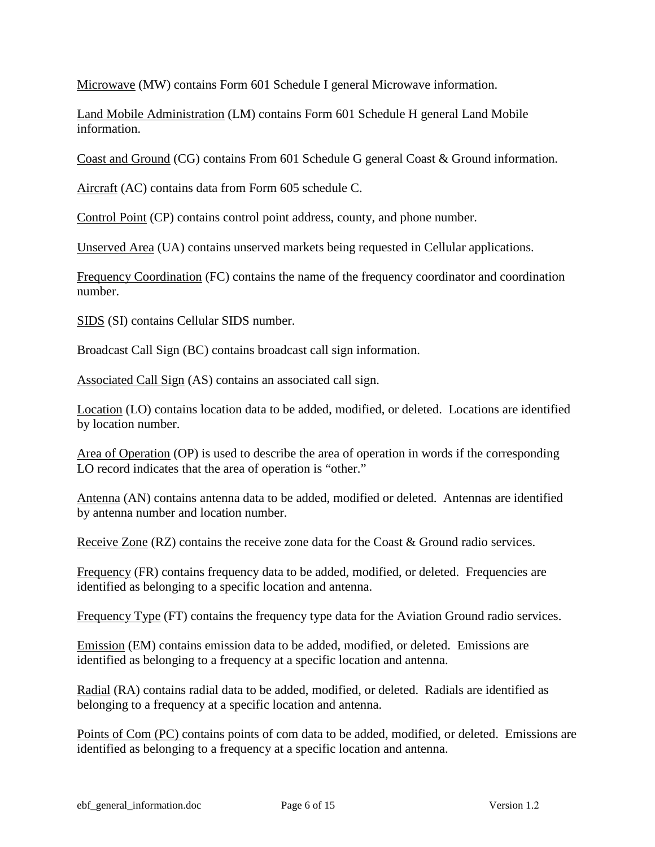Microwave (MW) contains Form 601 Schedule I general Microwave information.

Land Mobile Administration (LM) contains Form 601 Schedule H general Land Mobile information.

Coast and Ground (CG) contains From 601 Schedule G general Coast & Ground information.

Aircraft (AC) contains data from Form 605 schedule C.

Control Point (CP) contains control point address, county, and phone number.

Unserved Area (UA) contains unserved markets being requested in Cellular applications.

Frequency Coordination (FC) contains the name of the frequency coordinator and coordination number.

SIDS (SI) contains Cellular SIDS number.

Broadcast Call Sign (BC) contains broadcast call sign information.

Associated Call Sign (AS) contains an associated call sign.

Location (LO) contains location data to be added, modified, or deleted. Locations are identified by location number.

Area of Operation (OP) is used to describe the area of operation in words if the corresponding LO record indicates that the area of operation is "other."

Antenna (AN) contains antenna data to be added, modified or deleted. Antennas are identified by antenna number and location number.

Receive Zone (RZ) contains the receive zone data for the Coast & Ground radio services.

Frequency (FR) contains frequency data to be added, modified, or deleted. Frequencies are identified as belonging to a specific location and antenna.

Frequency Type (FT) contains the frequency type data for the Aviation Ground radio services.

Emission (EM) contains emission data to be added, modified, or deleted. Emissions are identified as belonging to a frequency at a specific location and antenna.

Radial (RA) contains radial data to be added, modified, or deleted. Radials are identified as belonging to a frequency at a specific location and antenna.

Points of Com (PC) contains points of com data to be added, modified, or deleted. Emissions are identified as belonging to a frequency at a specific location and antenna.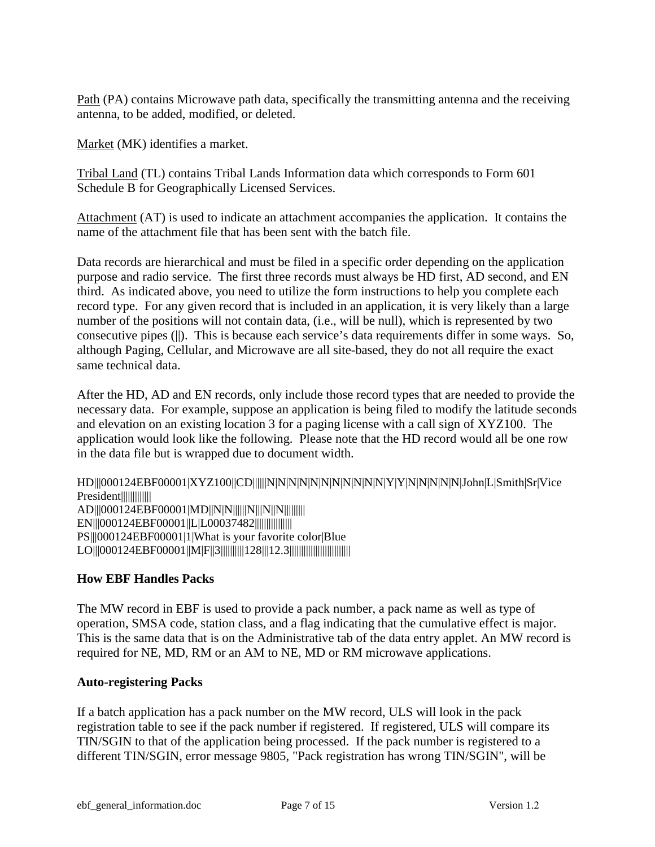Path (PA) contains Microwave path data, specifically the transmitting antenna and the receiving antenna, to be added, modified, or deleted.

Market (MK) identifies a market.

Tribal Land (TL) contains Tribal Lands Information data which corresponds to Form 601 Schedule B for Geographically Licensed Services.

Attachment (AT) is used to indicate an attachment accompanies the application. It contains the name of the attachment file that has been sent with the batch file.

Data records are hierarchical and must be filed in a specific order depending on the application purpose and radio service. The first three records must always be HD first, AD second, and EN third. As indicated above, you need to utilize the form instructions to help you complete each record type. For any given record that is included in an application, it is very likely than a large number of the positions will not contain data, (i.e., will be null), which is represented by two consecutive pipes (||). This is because each service's data requirements differ in some ways. So, although Paging, Cellular, and Microwave are all site-based, they do not all require the exact same technical data.

After the HD, AD and EN records, only include those record types that are needed to provide the necessary data. For example, suppose an application is being filed to modify the latitude seconds and elevation on an existing location 3 for a paging license with a call sign of XYZ100. The application would look like the following. Please note that the HD record would all be one row in the data file but is wrapped due to document width.

HD|||000124EBF00001|XYZ100||CD||||||N|N|N|N|N|N|N|N|N|N|N|Y|Y|N|N|N|N|N|John|L|Smith|Sr|Vice President||||||||||||||||||||||| AD|||000124EBF00001|MD||N|N|||||||N|||N|||N||||||||||||| EN|||000124EBF00001||L|L00037482|||||||||||||||| PS|||000124EBF00001|1|What is your favorite color|Blue LO|||000124EBF00001||M|F||3||||||||||||||||28|||12.3|||||||||||||||||||||||||||||

## **How EBF Handles Packs**

The MW record in EBF is used to provide a pack number, a pack name as well as type of operation, SMSA code, station class, and a flag indicating that the cumulative effect is major. This is the same data that is on the Administrative tab of the data entry applet. An MW record is required for NE, MD, RM or an AM to NE, MD or RM microwave applications.

### **Auto-registering Packs**

If a batch application has a pack number on the MW record, ULS will look in the pack registration table to see if the pack number if registered. If registered, ULS will compare its TIN/SGIN to that of the application being processed. If the pack number is registered to a different TIN/SGIN, error message 9805, "Pack registration has wrong TIN/SGIN", will be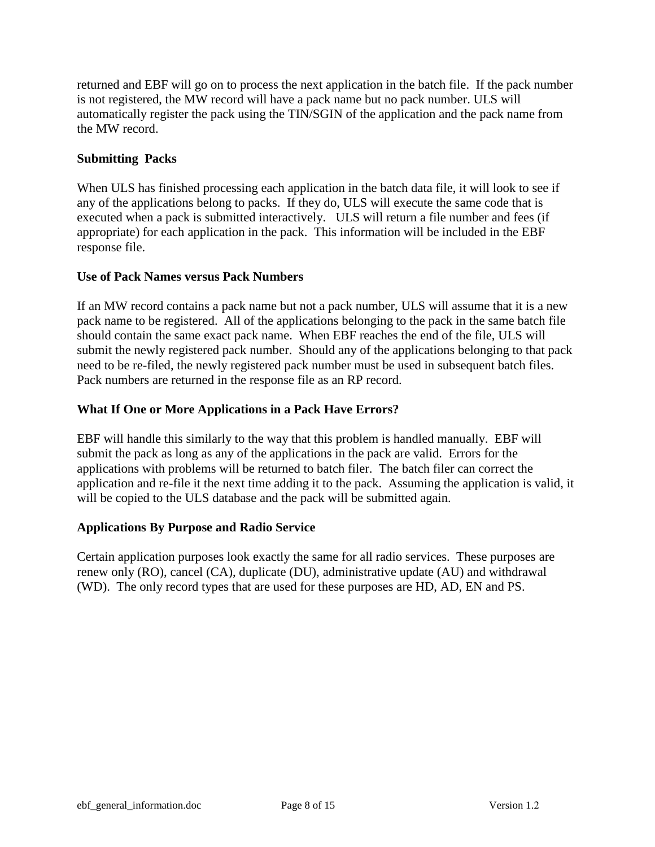returned and EBF will go on to process the next application in the batch file. If the pack number is not registered, the MW record will have a pack name but no pack number. ULS will automatically register the pack using the TIN/SGIN of the application and the pack name from the MW record.

## **Submitting Packs**

When ULS has finished processing each application in the batch data file, it will look to see if any of the applications belong to packs. If they do, ULS will execute the same code that is executed when a pack is submitted interactively. ULS will return a file number and fees (if appropriate) for each application in the pack. This information will be included in the EBF response file.

## **Use of Pack Names versus Pack Numbers**

If an MW record contains a pack name but not a pack number, ULS will assume that it is a new pack name to be registered. All of the applications belonging to the pack in the same batch file should contain the same exact pack name. When EBF reaches the end of the file, ULS will submit the newly registered pack number. Should any of the applications belonging to that pack need to be re-filed, the newly registered pack number must be used in subsequent batch files. Pack numbers are returned in the response file as an RP record.

# **What If One or More Applications in a Pack Have Errors?**

EBF will handle this similarly to the way that this problem is handled manually. EBF will submit the pack as long as any of the applications in the pack are valid. Errors for the applications with problems will be returned to batch filer. The batch filer can correct the application and re-file it the next time adding it to the pack. Assuming the application is valid, it will be copied to the ULS database and the pack will be submitted again.

# **Applications By Purpose and Radio Service**

Certain application purposes look similar for most radio services. These purposes are renew only (RO), cancel (CA), duplicate (DU), administrative update (AU) and withdrawal (WD). The only record types that are used for these purposes are HD, AD, EN, PS, and AT as required.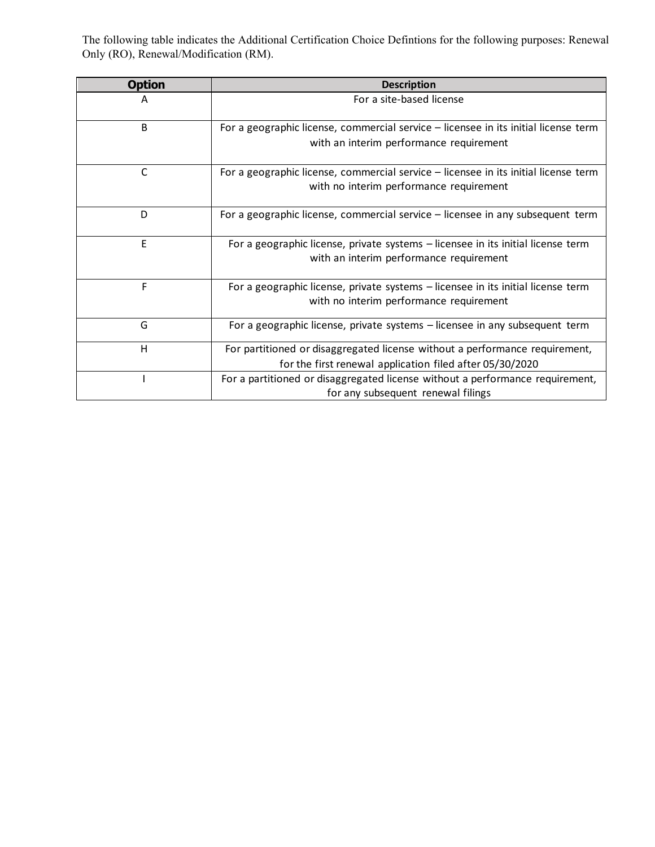The following table provides the valid options for the Operation/Performance Requirement Certification question, Main Form 601 Question 57, (HD51), when required, for the following purposes: Renewal Only (RO), Renewal/Modification (RM).

| <b>Option</b> | <b>Description</b>                                                                                                                      |
|---------------|-----------------------------------------------------------------------------------------------------------------------------------------|
| А             | For a site-based license                                                                                                                |
| B             | For a geographic license, commercial service - licensee in its initial license term<br>with an interim performance requirement          |
| C             | For a geographic license, commercial service - licensee in its initial license term<br>with no interim performance requirement          |
| D             | For a geographic license, commercial service - licensee in any subsequent term                                                          |
| E             | For a geographic license, private systems - licensee in its initial license term<br>with an interim performance requirement             |
| F             | For a geographic license, private systems - licensee in its initial license term<br>with no interim performance requirement             |
| G             | For a geographic license, private systems - licensee in any subsequent term                                                             |
| H             | For partitioned or disaggregated license without a performance requirement,<br>for the first renewal application filed after 05/30/2020 |
|               | For a partitioned or disaggregated license without a performance requirement,<br>for any subsequent renewal filings                     |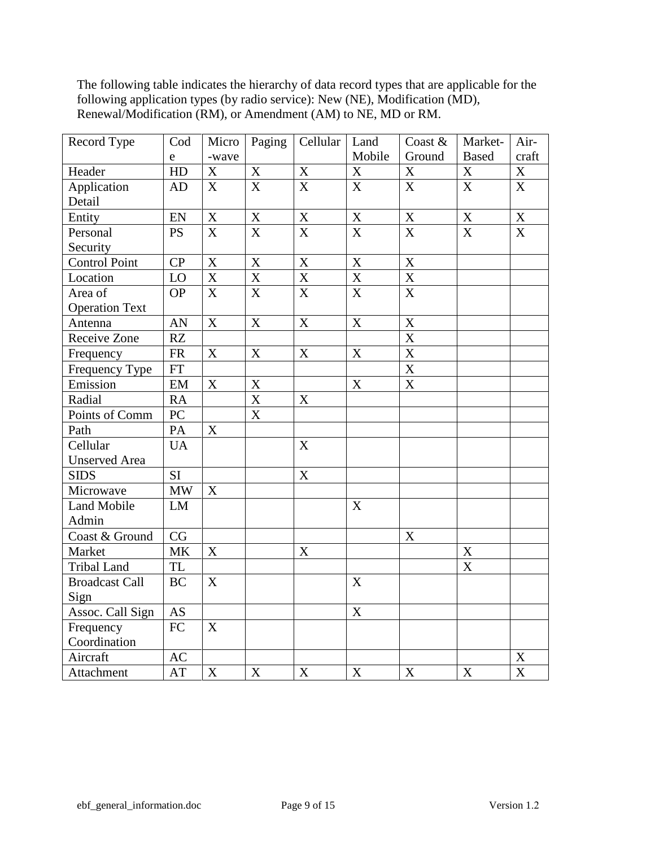The following table indicates the hierarchy of data record types that are applicable for the following application types (by radio service): New (NE), Modification (MD), Renewal/Modification (RM), or Amendment (AM) to NE, MD or RM.

| Record Type           | Cod                             | Micro                     | Paging                    | Cellular                | Land                      | Coast &                   | Market-                   | Air-                  |
|-----------------------|---------------------------------|---------------------------|---------------------------|-------------------------|---------------------------|---------------------------|---------------------------|-----------------------|
|                       | e                               | -wave                     |                           |                         | Mobile                    | Ground                    | <b>Based</b>              | craft                 |
| Header                | HD                              | $\mathbf X$               | $\mathbf X$               | $\mathbf X$             | $\mathbf X$               | X                         | X                         | $\mathbf X$           |
| Application           | <b>AD</b>                       | X                         | X                         | $\overline{X}$          | $\mathbf X$               | X                         | X                         | X                     |
| Detail                |                                 |                           |                           |                         |                           |                           |                           |                       |
| Entity                | EN                              | $\mathbf X$               | $\mathbf X$               | $\mathbf X$             | $\mathbf X$               | $\mathbf X$               | $\overline{X}$            | $\mathbf X$           |
| Personal              | <b>PS</b>                       | $\overline{\text{X}}$     | $\overline{X}$            | $\overline{\text{X}}$   | $\overline{\text{X}}$     | $\overline{X}$            | $\overline{X}$            | $\overline{\text{X}}$ |
| Security              |                                 |                           |                           |                         |                           |                           |                           |                       |
| <b>Control Point</b>  | $\overline{CP}$                 | $\mathbf X$               | $\mathbf X$               | $\mathbf X$             | $\mathbf X$               | $\mathbf X$               |                           |                       |
| Location              | LO                              | $\overline{\textbf{X}}$   | $\overline{\text{X}}$     | $\overline{\mathbf{X}}$ | $\overline{X}$            | $\overline{\mathbf{X}}$   |                           |                       |
| Area of               | <b>OP</b>                       | $\overline{\text{X}}$     | $\overline{X}$            | $\overline{\text{X}}$   | $\overline{\mathbf{X}}$   | $\overline{\text{X}}$     |                           |                       |
| <b>Operation Text</b> |                                 |                           |                           |                         |                           |                           |                           |                       |
| Antenna               | AN                              | X                         | $\boldsymbol{\mathrm{X}}$ | X                       | $\boldsymbol{\mathrm{X}}$ | $\boldsymbol{\mathrm{X}}$ |                           |                       |
| Receive Zone          | RZ                              |                           |                           |                         |                           | $\overline{\text{X}}$     |                           |                       |
| Frequency             | ${\sf FR}$                      | $\mathbf X$               | $\boldsymbol{\mathrm{X}}$ | X                       | X                         | $\overline{X}$            |                           |                       |
| Frequency Type        | FT                              |                           |                           |                         |                           | $\boldsymbol{\mathrm{X}}$ |                           |                       |
| Emission              | EM                              | $\mathbf X$               | $\boldsymbol{\mathrm{X}}$ |                         | $\mathbf X$               | $\overline{X}$            |                           |                       |
| Radial                | <b>RA</b>                       |                           | $\overline{X}$            | X                       |                           |                           |                           |                       |
| Points of Comm        | PC                              |                           | $\overline{\text{X}}$     |                         |                           |                           |                           |                       |
| Path                  | PA                              | X                         |                           |                         |                           |                           |                           |                       |
| Cellular              | <b>UA</b>                       |                           |                           | X                       |                           |                           |                           |                       |
| <b>Unserved Area</b>  |                                 |                           |                           |                         |                           |                           |                           |                       |
| <b>SIDS</b>           | <b>SI</b>                       |                           |                           | $\overline{X}$          |                           |                           |                           |                       |
| Microwave             | $\ensuremath{\text{MW}}\xspace$ | $\mathbf X$               |                           |                         |                           |                           |                           |                       |
| Land Mobile           | LM                              |                           |                           |                         | $\mathbf X$               |                           |                           |                       |
| Admin                 |                                 |                           |                           |                         |                           |                           |                           |                       |
| Coast & Ground        | CG                              |                           |                           |                         |                           | $\mathbf X$               |                           |                       |
| Market                | <b>MK</b>                       | $\mathbf X$               |                           | $\mathbf X$             |                           |                           | $\mathbf X$               |                       |
| <b>Tribal Land</b>    | <b>TL</b>                       |                           |                           |                         |                           |                           | X                         |                       |
| <b>Broadcast Call</b> | <b>BC</b>                       | X                         |                           |                         | X                         |                           |                           |                       |
| Sign                  |                                 |                           |                           |                         |                           |                           |                           |                       |
| Assoc. Call Sign      | <b>AS</b>                       |                           |                           |                         | $\boldsymbol{\mathrm{X}}$ |                           |                           |                       |
| Frequency             | FC                              | X                         |                           |                         |                           |                           |                           |                       |
| Coordination          |                                 |                           |                           |                         |                           |                           |                           |                       |
| Aircraft              | AC                              |                           |                           |                         |                           |                           |                           | $\mathbf X$           |
| Attachment            | AT                              | $\boldsymbol{\mathrm{X}}$ | $\mathbf X$               | $\mathbf X$             | $\mathbf X$               | $\mathbf X$               | $\boldsymbol{\mathrm{X}}$ | $\overline{X}$        |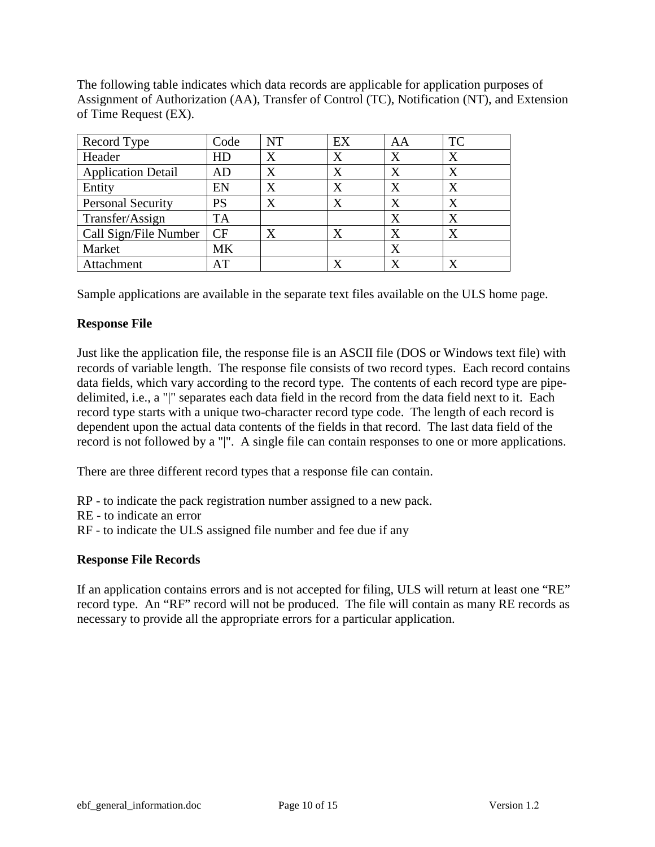The following table indicates which data records are applicable for application purposes of Assignment of Authorization (AA), Transfer of Control (TC), Notification (NT), and Extension of Time Request (EX).

| Record Type               | Code      | NT                | EX      | AA      | <b>TC</b> |
|---------------------------|-----------|-------------------|---------|---------|-----------|
| Header                    | HD        | X                 | $\rm X$ | X       | $\rm X$   |
| <b>Application Detail</b> | AD        | $\rm\overline{X}$ | $\rm X$ | X       | $\rm X$   |
| Entity                    | EN        | $\rm\overline{X}$ | X       | X       | $\rm X$   |
| <b>Personal Security</b>  | <b>PS</b> | $\rm\overline{X}$ |         | X       | X         |
| Transfer/Assign           | TA        |                   |         | X       | X         |
| Call Sign/File Number     | CF        |                   |         | X       | x         |
| Market                    | <b>MK</b> |                   |         | $\rm X$ |           |
| Attachment                | AT        |                   |         |         |           |

Sample applications are available in the separate text files available on the ULS home page.

## **Response File**

Just like the application file, the response file is an ASCII file (DOS or Windows text file) with records of variable length. The response file consists of two record types. Each record contains data fields, which vary according to the record type. The contents of each record type are pipedelimited, i.e., a "|" separates each data field in the record from the data field next to it. Each record type starts with a unique two-character record type code. The length of each record is dependent upon the actual data contents of the fields in that record. The last data field of the record is not followed by a "|". A single file can contain responses to one or more applications.

There are three different record types that a response file can contain.

RP - to indicate the pack registration number assigned to a new pack.

RE - to indicate an error

RF - to indicate the ULS assigned file number and fee due if any

## **Response File Records**

If an application contains errors and is not accepted for filing, ULS will return at least one "RE" record type. An "RF" record will not be produced. The file will contain as many RE records as necessary to provide all the appropriate errors for a particular application.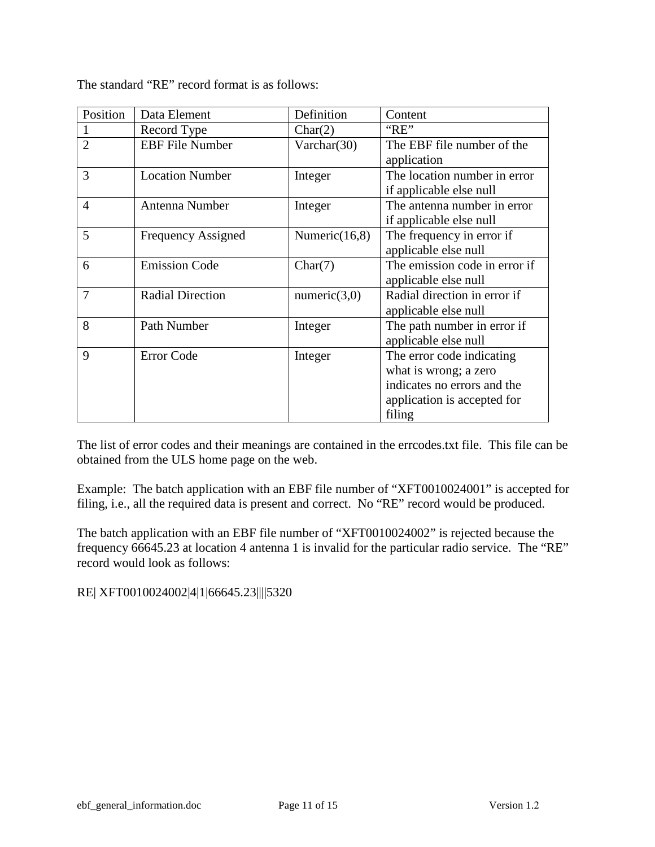| Position       | Data Element            | Definition       | Content                       |
|----------------|-------------------------|------------------|-------------------------------|
|                | Record Type             | Char(2)          | "RE"                          |
| $\overline{2}$ | <b>EBF</b> File Number  | Varchar(30)      | The EBF file number of the    |
|                |                         |                  | application                   |
| 3              | <b>Location Number</b>  | Integer          | The location number in error  |
|                |                         |                  | if applicable else null       |
| $\overline{4}$ | Antenna Number          | Integer          | The antenna number in error   |
|                |                         |                  | if applicable else null       |
| 5              | Frequency Assigned      | Numeric $(16,8)$ | The frequency in error if     |
|                |                         |                  | applicable else null          |
| 6              | <b>Emission Code</b>    | Char(7)          | The emission code in error if |
|                |                         |                  | applicable else null          |
| 7              | <b>Radial Direction</b> | numeric(3,0)     | Radial direction in error if  |
|                |                         |                  | applicable else null          |
| 8              | Path Number             | Integer          | The path number in error if   |
|                |                         |                  | applicable else null          |
| 9              | Error Code              | Integer          | The error code indicating     |
|                |                         |                  | what is wrong; a zero         |
|                |                         |                  | indicates no errors and the   |
|                |                         |                  | application is accepted for   |
|                |                         |                  | filing                        |

The standard "RE" record format is as follows:

The list of error codes and their meanings are contained in the errcodes.txt file. This file can be obtained from the ULS home page on the web.

Example: The batch application with an EBF file number of "XFT0010024001" is accepted for filing, i.e., all the required data is present and correct. No "RE" record would be produced.

The batch application with an EBF file number of "XFT0010024002" is rejected because the frequency 66645.23 at location 4 antenna 1 is invalid for the particular radio service. The "RE" record would look as follows:

RE| XFT0010024002|4|1|66645.23||||5320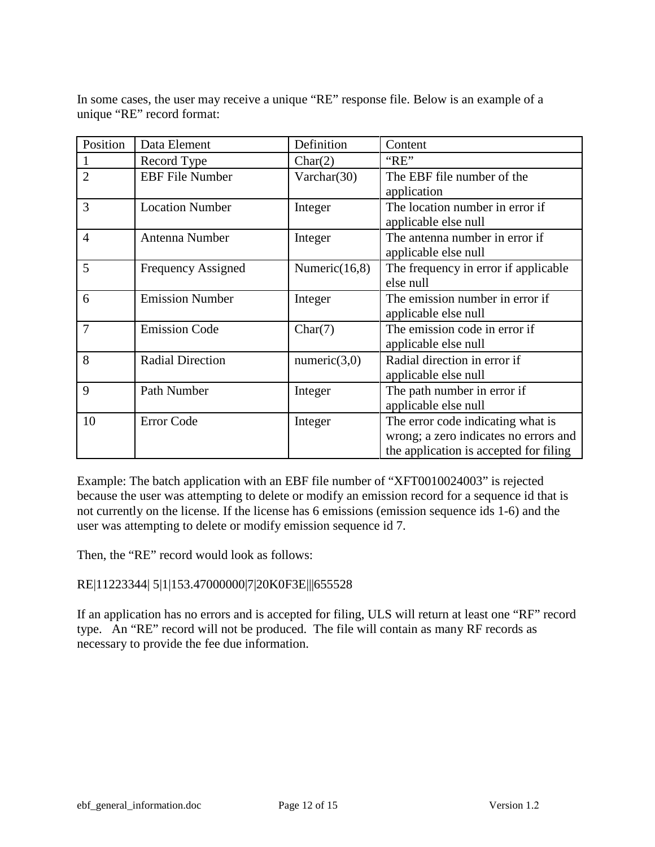In some cases, the user may receive a unique "RE" response file. Below is an example of a unique "RE" record format:

| Position       | Data Element              | Definition       | Content                                                                                                              |
|----------------|---------------------------|------------------|----------------------------------------------------------------------------------------------------------------------|
|                | Record Type               | Char(2)          | "RE"                                                                                                                 |
| $\overline{2}$ | <b>EBF</b> File Number    | Varchar(30)      | The EBF file number of the<br>application                                                                            |
| 3              | <b>Location Number</b>    | Integer          | The location number in error if<br>applicable else null                                                              |
| $\overline{4}$ | Antenna Number            | Integer          | The antenna number in error if<br>applicable else null                                                               |
| 5              | <b>Frequency Assigned</b> | Numeric $(16,8)$ | The frequency in error if applicable<br>else null                                                                    |
| 6              | <b>Emission Number</b>    | Integer          | The emission number in error if<br>applicable else null                                                              |
| $\overline{7}$ | <b>Emission Code</b>      | Char(7)          | The emission code in error if<br>applicable else null                                                                |
| 8              | <b>Radial Direction</b>   | numeric $(3,0)$  | Radial direction in error if<br>applicable else null                                                                 |
| 9              | Path Number               | Integer          | The path number in error if<br>applicable else null                                                                  |
| 10             | <b>Error Code</b>         | Integer          | The error code indicating what is<br>wrong; a zero indicates no errors and<br>the application is accepted for filing |

Example: The batch application with an EBF file number of "XFT0010024003" is rejected because the user was attempting to delete or modify an emission record for a sequence id that is not currently on the license. If the license has 6 emissions (emission sequence ids 1-6) and the user was attempting to delete or modify emission sequence id 7.

Then, the "RE" record would look as follows:

## RE|11223344| 5|1|153.47000000|7|20K0F3E|||655528

If an application has no errors and is accepted for filing, ULS will return at least one "RF" record type. An "RE" record will not be produced. The file will contain as many RF records as necessary to provide the fee due information.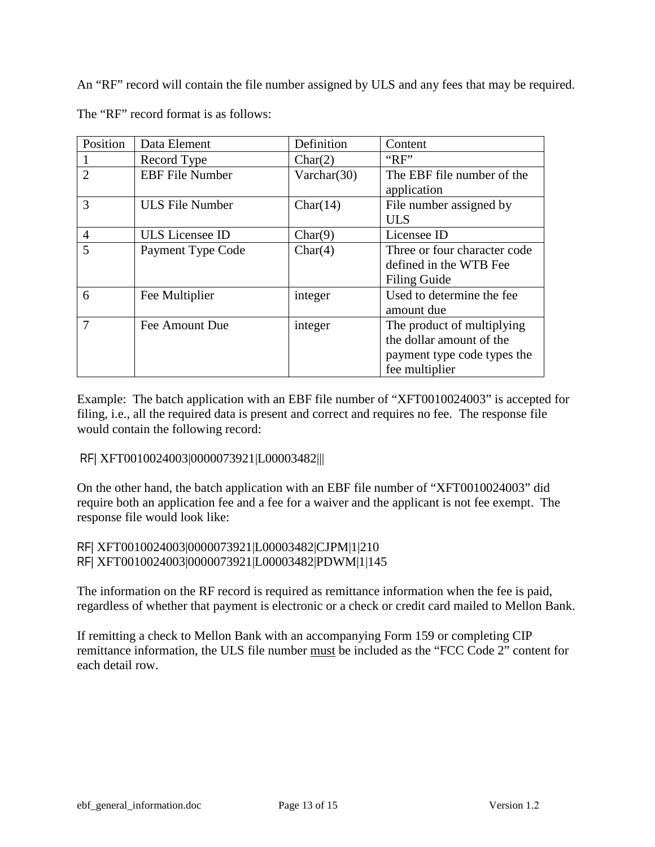An "RF" record will contain the file number assigned by ULS and any fees that may be required. The "RF" record format is as follows:

| Position       | Data Element           | Definition     | Content                                                                                                 |
|----------------|------------------------|----------------|---------------------------------------------------------------------------------------------------------|
|                | Record Type            | Char(2)        | "RF"                                                                                                    |
| $\overline{2}$ | <b>EBF</b> File Number | Varchar $(30)$ | The EBF file number of the<br>application                                                               |
| 3              | <b>ULS File Number</b> | Char(14)       | File number assigned by<br><b>ULS</b>                                                                   |
| $\overline{4}$ | <b>ULS</b> Licensee ID | Char(9)        | Licensee ID                                                                                             |
| 5              | Payment Type Code      | Char(4)        | Three or four character code<br>defined in the WTB Fee<br>Filing Guide                                  |
| 6              | Fee Multiplier         | integer        | Used to determine the fee<br>amount due                                                                 |
| $\tau$         | Fee Amount Due         | integer        | The product of multiplying<br>the dollar amount of the<br>payment type code types the<br>fee multiplier |

Example: The batch application with an EBF file number of "XFT0010024003" is accepted for filing, i.e., all the required data is present and correct and requires no fee. The response file would contain the following record:

## RF| XFT0010024003|0000073921|L00003482|||

On the other hand, the batch application with an EBF file number of "XFT0010024003" did require both an application fee and a fee for a waiver and the applicant is not fee exempt. The response file would look like:

## RF| XFT0010024003|0000073921|L00003482|CJPM|1|210 RF| XFT0010024003|0000073921|L00003482|PDWM|1|145

The information on the RF record is required as remittance information when the fee is paid, regardless of whether that payment is electronic or a check or credit card mailed to Mellon Bank.

If remitting a check to Mellon Bank with an accompanying Form 159 or completing CIP remittance information, the ULS file number must be included as the "FCC Code 2" content for each detail row.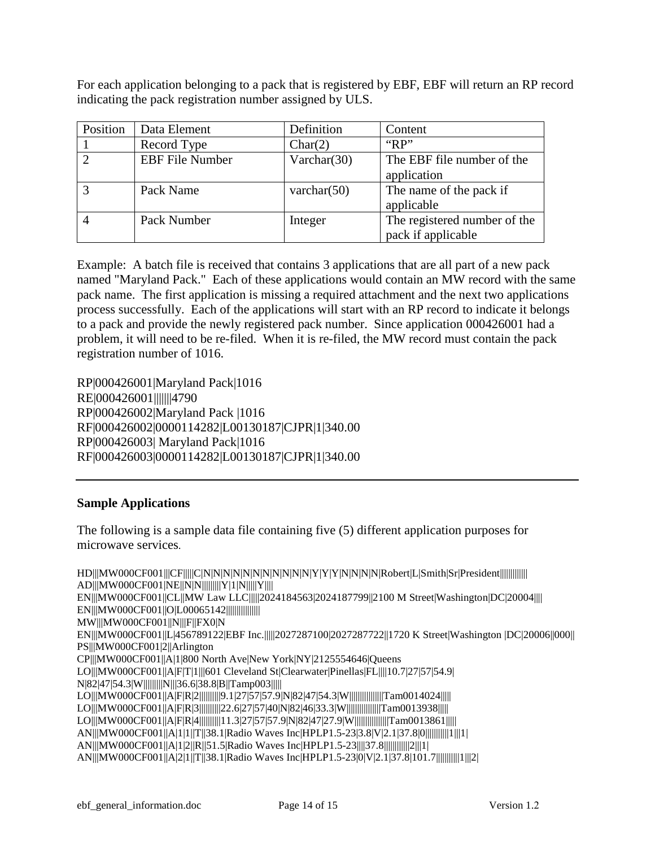For each application belonging to a pack that is registered by EBF, EBF will return an RP record indicating the pack registration number assigned by ULS.

| Position | Data Element           | Definition     | Content                                            |
|----------|------------------------|----------------|----------------------------------------------------|
|          | Record Type            | Char(2)        | " $RP"$                                            |
|          | <b>EBF</b> File Number | Varchar $(30)$ | The EBF file number of the<br>application          |
|          | Pack Name              | varchar $(50)$ | The name of the pack if<br>applicable              |
|          | Pack Number            | Integer        | The registered number of the<br>pack if applicable |

Example: A batch file is received that contains 3 applications that are all part of a new pack named "Maryland Pack." Each of these applications would contain an MW record with the same pack name. The first application is missing a required attachment and the next two applications process successfully. Each of the applications will start with an RP record to indicate it belongs to a pack and provide the newly registered pack number. Since application 000426001 had a problem, it will need to be re-filed. When it is re-filed, the MW record must contain the pack registration number of 1016.

RP|000426001|Maryland Pack|1016 RE|000426001|||||||4790 RP|000426002|Maryland Pack |1016 RF|000426002|0000114282|L00130187|CJPR|1|340.00 RP|000426003| Maryland Pack|1016 RF|000426003|0000114282|L00130187|CJPR|1|340.00

### **Sample Applications**

The following is a sample data file containing five (5) different application purposes for microwave services.

HD|||MW000CF001|||CF|||||C|N|N|N|N|N|N|N|N|N|N|N|Y|Y|Y|N|N|N|N|Robert|L|Smith|Sr|President||||||||||||||||||| AD|||MW000CF001|NE||N|N|||||||||Y|1|N|||||Y||||||| EN|||MW000CF001||CL||MW Law LLC|||||2024184563|2024187799||2100 M Street|Washington|DC|20004|||| EN|||MW000CF001||O|L00065142||||||||||||||| MW|||MW000CF001||N|||F||FX0|N EN|||MW000CF001||L|456789122|EBF Inc.|||||2027287100|2027287722||1720 K Street|Washington |DC|20006|| 000|| PS|||MW000CF001|2||Arlington CP|||MW000CF001||A|1|800 North Ave|New York|NY|2125554646|Queens LO|||MW000CF001||A|F|T|1|||601 Cleveland St|Clearwater|Pinellas|FL||||10.7|27|57|54.9| N|82|47|54.3|W|||||||||N|||36.6|38.8|B||Tamp003||||| LO|||MW000CF001||A|F|R|2||||||||||9.1|27|57|57.9|N|82|47|54.3|W||||||||||||||||Tam0014024||||| LO|||MW000CF001||A|F|R|3||||||||||22.6|27|57|40|N|82|46|33.3|W||||||||||||||||Tam0013938||||| LO|||MW000CF001||A|F|R|4||||||||||11.3|27|57|57.9|N|82|47|27.9|W||||||||||||||||Tam0013861||||| AN|||MW000CF001||A|1|1||T||38.1|Radio Waves Inc|HPLP1.5-23|3.8|V|2.1|37.8|0|||||||||||1|||1| AN|||MW000CF001||A|1|2||R||51.5|Radio Waves Inc|HPLP1.5-23||||37.8||||||||||||2|||1| AN|||MW000CF001||A|2|1||T||38.1|Radio Waves Inc|HPLP1.5-23|0|V|2.1|37.8|101.7|||||||||||1|||2|